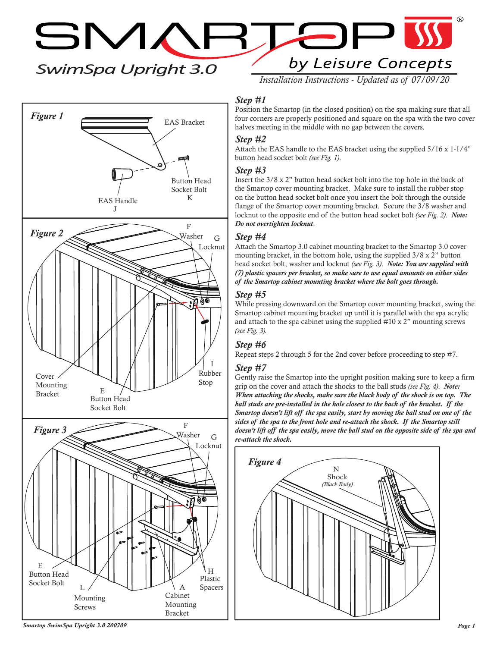# *SwimSpa Upright 3.0*

SMARTE by Leisure Concepts

 $\Box$ 

*Installation Instructions - Updated as of 07/09/20*

# *Step #1*

Position the Smartop (in the closed position) on the spa making sure that all four corners are properly positioned and square on the spa with the two cover halves meeting in the middle with no gap between the covers.

#### *Step #2*

Attach the EAS handle to the EAS bracket using the supplied 5/16 x 1-1/4" button head socket bolt *(see Fig. 1)*.

## *Step #3*

Insert the 3/8 x 2" button head socket bolt into the top hole in the back of the Smartop cover mounting bracket. Make sure to install the rubber stop on the button head socket bolt once you insert the bolt through the outside flange of the Smartop cover mounting bracket. Secure the 3/8 washer and locknut to the opposite end of the button head socket bolt *(see Fig. 2)*. *Note: Do not overtighten locknut*.

## *Step #4*

Attach the Smartop 3.0 cabinet mounting bracket to the Smartop 3.0 cover mounting bracket, in the bottom hole, using the supplied 3/8 x 2" button head socket bolt, washer and locknut *(see Fig. 3)*. *Note: You are supplied with (7) plastic spacers per bracket, so make sure to use equal amounts on either sides of the Smartop cabinet mounting bracket where the bolt goes through.*

#### *Step #5*

While pressing downward on the Smartop cover mounting bracket, swing the Smartop cabinet mounting bracket up until it is parallel with the spa acrylic and attach to the spa cabinet using the supplied #10 x 2" mounting screws *(see Fig. 3).*

## *Step #6*

Repeat steps 2 through 5 for the 2nd cover before proceeding to step #7.

## *Step #7*

Gently raise the Smartop into the upright position making sure to keep a firm grip on the cover and attach the shocks to the ball studs *(see Fig. 4)*. *Note: When attaching the shocks, make sure the black body of the shock is on top. The ball studs are pre-installed in the hole closest to the back of the bracket. If the Smartop doesn't lift off the spa easily, start by moving the ball stud on one of the sides of the spa to the front hole and re-attach the shock. If the Smartop still doesn't lift off the spa easily, move the ball stud on the opposite side of the spa and re-attach the shock.*





*Smartop SwimSpa Upright 3.0 200709 Page 1*